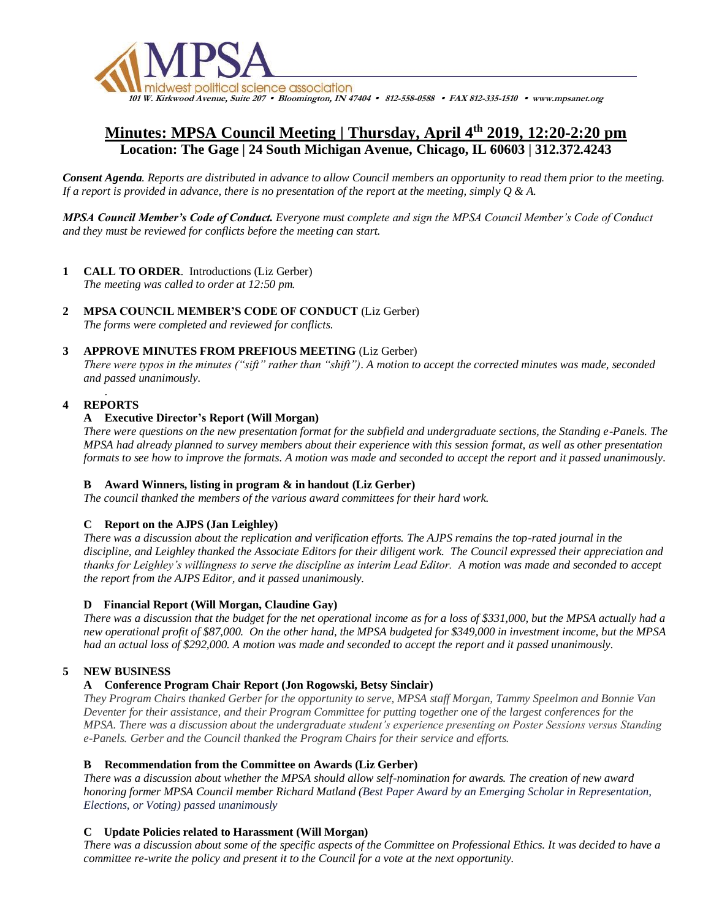

# **Minutes: MPSA Council Meeting | Thursday, April 4 th 2019, 12:20-2:20 pm Location: The Gage | 24 South Michigan Avenue, Chicago, IL 60603 | 312.372.4243**

*Consent Agenda. Reports are distributed in advance to allow Council members an opportunity to read them prior to the meeting. If a report is provided in advance, there is no presentation of the report at the meeting, simply Q & A.*

*MPSA Council Member's Code of Conduct. Everyone must complete and sign the MPSA Council Member's Code of Conduct and they must be reviewed for conflicts before the meeting can start.*

- **1 CALL TO ORDER**. Introductions (Liz Gerber) *The meeting was called to order at 12:50 pm.*
- **2 MPSA COUNCIL MEMBER'S CODE OF CONDUCT** (Liz Gerber) *The forms were completed and reviewed for conflicts.*

# **3 APPROVE MINUTES FROM PREFIOUS MEETING** (Liz Gerber)

*There were typos in the minutes ("sift" rather than "shift"). A motion to accept the corrected minutes was made, seconded and passed unanimously.*

#### . **4 REPORTS**

# **A Executive Director's Report (Will Morgan)**

*There were questions on the new presentation format for the subfield and undergraduate sections, the Standing e-Panels. The MPSA had already planned to survey members about their experience with this session format, as well as other presentation formats to see how to improve the formats. A motion was made and seconded to accept the report and it passed unanimously.*

### **B Award Winners, listing in program & in handout (Liz Gerber)**

*The council thanked the members of the various award committees for their hard work.*

### **C Report on the AJPS (Jan Leighley)**

*There was a discussion about the replication and verification efforts. The AJPS remains the top-rated journal in the discipline, and Leighley thanked the Associate Editors for their diligent work. The Council expressed their appreciation and thanks for Leighley's willingness to serve the discipline as interim Lead Editor. A motion was made and seconded to accept the report from the AJPS Editor, and it passed unanimously.*

### **D Financial Report (Will Morgan, Claudine Gay)**

*There was a discussion that the budget for the net operational income as for a loss of \$331,000, but the MPSA actually had a new operational profit of \$87,000. On the other hand, the MPSA budgeted for \$349,000 in investment income, but the MPSA had an actual loss of \$292,000. A motion was made and seconded to accept the report and it passed unanimously.*

# **5 NEW BUSINESS**

# **A Conference Program Chair Report (Jon Rogowski, Betsy Sinclair)**

*They Program Chairs thanked Gerber for the opportunity to serve, MPSA staff Morgan, Tammy Speelmon and Bonnie Van Deventer for their assistance, and their Program Committee for putting together one of the largest conferences for the MPSA. There was a discussion about the undergraduate student's experience presenting on Poster Sessions versus Standing e-Panels. Gerber and the Council thanked the Program Chairs for their service and efforts.*

### **B Recommendation from the Committee on Awards (Liz Gerber)**

*There was a discussion about whether the MPSA should allow self-nomination for awards. The creation of new award honoring former MPSA Council member Richard Matland (Best Paper Award by an Emerging Scholar in Representation, Elections, or Voting) passed unanimously*

# **C Update Policies related to Harassment (Will Morgan)**

*There was a discussion about some of the specific aspects of the Committee on Professional Ethics. It was decided to have a committee re-write the policy and present it to the Council for a vote at the next opportunity.*